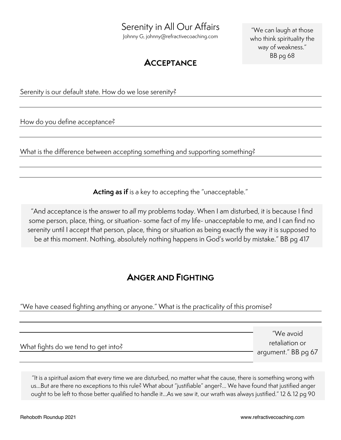# Serenity in All Our Affairs

Johnny G, johnny@refractivecoaching.com

"We can laugh at those who think spirituality the way of weakness." BB pg 68

## **ACCEPTANCE**

### Serenity is our default state. How do we lose serenity?

How do you define acceptance?

What is the difference between accepting something and supporting something?

**Acting as if** is a key to accepting the "unacceptable."

"And acceptance is the answer to *all* my problems today. When I am disturbed, it is because I find some person, place, thing, or situation- some fact of my life- unacceptable to me, and I can find no serenity until I accept that person, place, thing or situation as being exactly the way it is supposed to be at this moment. Nothing, absolutely nothing happens in God's world by mistake." BB pg 417

## **ANGER AND FIGHTING**

#### "We have ceased fighting anything or anyone." What is the practicality of this promise?

|                                     | "We avoid           |
|-------------------------------------|---------------------|
| What fights do we tend to get into? | retaliation or      |
|                                     | argument." BB pg 67 |

"It is a spiritual axiom that every time we are disturbed, no matter what the cause, there is something wrong with us…But are there no exceptions to this rule? What about "justifiable" anger?... We have found that justified anger ought to be left to those better qualified to handle it…As we saw it, our wrath was always justified." 12 & 12 pg 90